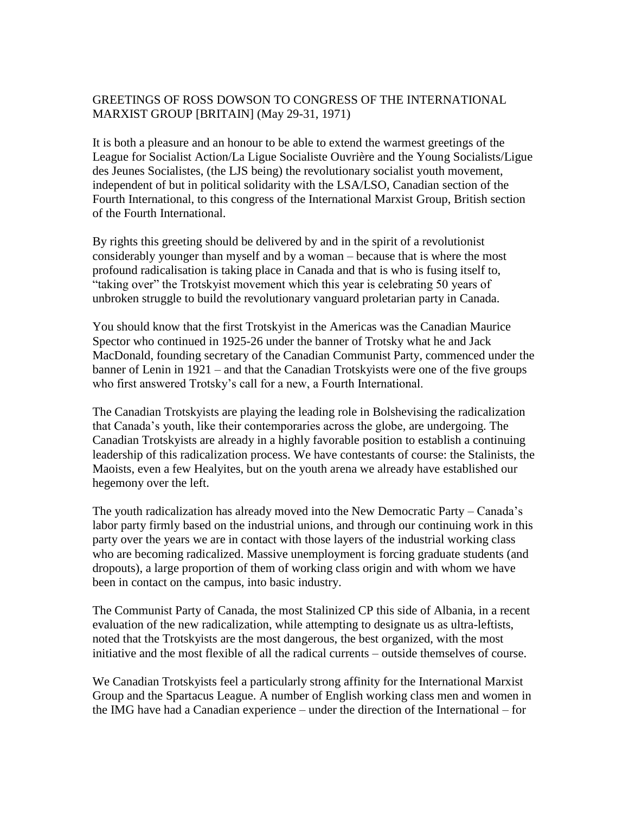## GREETINGS OF ROSS DOWSON TO CONGRESS OF THE INTERNATIONAL MARXIST GROUP [BRITAIN] (May 29-31, 1971)

It is both a pleasure and an honour to be able to extend the warmest greetings of the League for Socialist Action/La Ligue Socialiste Ouvrière and the Young Socialists/Ligue des Jeunes Socialistes, (the LJS being) the revolutionary socialist youth movement, independent of but in political solidarity with the LSA/LSO, Canadian section of the Fourth International, to this congress of the International Marxist Group, British section of the Fourth International.

By rights this greeting should be delivered by and in the spirit of a revolutionist considerably younger than myself and by a woman – because that is where the most profound radicalisation is taking place in Canada and that is who is fusing itself to, "taking over" the Trotskyist movement which this year is celebrating 50 years of unbroken struggle to build the revolutionary vanguard proletarian party in Canada.

You should know that the first Trotskyist in the Americas was the Canadian Maurice Spector who continued in 1925-26 under the banner of Trotsky what he and Jack MacDonald, founding secretary of the Canadian Communist Party, commenced under the banner of Lenin in 1921 – and that the Canadian Trotskyists were one of the five groups who first answered Trotsky's call for a new, a Fourth International.

The Canadian Trotskyists are playing the leading role in Bolshevising the radicalization that Canada's youth, like their contemporaries across the globe, are undergoing. The Canadian Trotskyists are already in a highly favorable position to establish a continuing leadership of this radicalization process. We have contestants of course: the Stalinists, the Maoists, even a few Healyites, but on the youth arena we already have established our hegemony over the left.

The youth radicalization has already moved into the New Democratic Party – Canada's labor party firmly based on the industrial unions, and through our continuing work in this party over the years we are in contact with those layers of the industrial working class who are becoming radicalized. Massive unemployment is forcing graduate students (and dropouts), a large proportion of them of working class origin and with whom we have been in contact on the campus, into basic industry.

The Communist Party of Canada, the most Stalinized CP this side of Albania, in a recent evaluation of the new radicalization, while attempting to designate us as ultra-leftists, noted that the Trotskyists are the most dangerous, the best organized, with the most initiative and the most flexible of all the radical currents – outside themselves of course.

We Canadian Trotskyists feel a particularly strong affinity for the International Marxist Group and the Spartacus League. A number of English working class men and women in the IMG have had a Canadian experience – under the direction of the International – for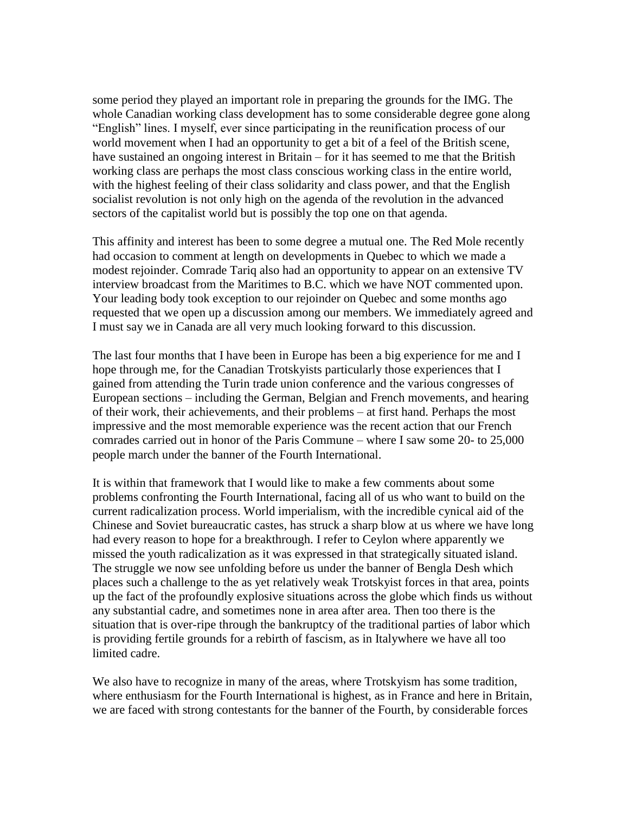some period they played an important role in preparing the grounds for the IMG. The whole Canadian working class development has to some considerable degree gone along "English" lines. I myself, ever since participating in the reunification process of our world movement when I had an opportunity to get a bit of a feel of the British scene, have sustained an ongoing interest in Britain – for it has seemed to me that the British working class are perhaps the most class conscious working class in the entire world, with the highest feeling of their class solidarity and class power, and that the English socialist revolution is not only high on the agenda of the revolution in the advanced sectors of the capitalist world but is possibly the top one on that agenda.

This affinity and interest has been to some degree a mutual one. The Red Mole recently had occasion to comment at length on developments in Quebec to which we made a modest rejoinder. Comrade Tariq also had an opportunity to appear on an extensive TV interview broadcast from the Maritimes to B.C. which we have NOT commented upon. Your leading body took exception to our rejoinder on Quebec and some months ago requested that we open up a discussion among our members. We immediately agreed and I must say we in Canada are all very much looking forward to this discussion.

The last four months that I have been in Europe has been a big experience for me and I hope through me, for the Canadian Trotskyists particularly those experiences that I gained from attending the Turin trade union conference and the various congresses of European sections – including the German, Belgian and French movements, and hearing of their work, their achievements, and their problems – at first hand. Perhaps the most impressive and the most memorable experience was the recent action that our French comrades carried out in honor of the Paris Commune – where I saw some 20- to 25,000 people march under the banner of the Fourth International.

It is within that framework that I would like to make a few comments about some problems confronting the Fourth International, facing all of us who want to build on the current radicalization process. World imperialism, with the incredible cynical aid of the Chinese and Soviet bureaucratic castes, has struck a sharp blow at us where we have long had every reason to hope for a breakthrough. I refer to Ceylon where apparently we missed the youth radicalization as it was expressed in that strategically situated island. The struggle we now see unfolding before us under the banner of Bengla Desh which places such a challenge to the as yet relatively weak Trotskyist forces in that area, points up the fact of the profoundly explosive situations across the globe which finds us without any substantial cadre, and sometimes none in area after area. Then too there is the situation that is over-ripe through the bankruptcy of the traditional parties of labor which is providing fertile grounds for a rebirth of fascism, as in Italywhere we have all too limited cadre.

We also have to recognize in many of the areas, where Trotskyism has some tradition, where enthusiasm for the Fourth International is highest, as in France and here in Britain, we are faced with strong contestants for the banner of the Fourth, by considerable forces